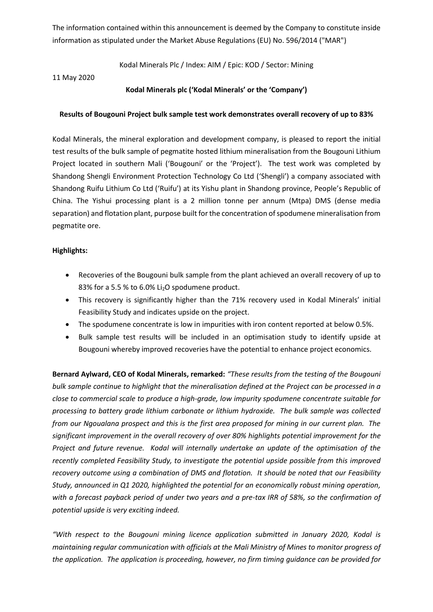The information contained within this announcement is deemed by the Company to constitute inside information as stipulated under the Market Abuse Regulations (EU) No. 596/2014 ("MAR")

Kodal Minerals Plc / Index: AIM / Epic: KOD / Sector: Mining

11 May 2020

## **Kodal Minerals plc ('Kodal Minerals' or the 'Company')**

### **Results of Bougouni Project bulk sample test work demonstrates overall recovery of up to 83%**

Kodal Minerals, the mineral exploration and development company, is pleased to report the initial test results of the bulk sample of pegmatite hosted lithium mineralisation from the Bougouni Lithium Project located in southern Mali ('Bougouni' or the 'Project'). The test work was completed by Shandong Shengli Environment Protection Technology Co Ltd ('Shengli') a company associated with Shandong Ruifu Lithium Co Ltd ('Ruifu') at its Yishu plant in Shandong province, People's Republic of China. The Yishui processing plant is a 2 million tonne per annum (Mtpa) DMS (dense media separation) and flotation plant, purpose built for the concentration of spodumene mineralisation from pegmatite ore.

### **Highlights:**

- Recoveries of the Bougouni bulk sample from the plant achieved an overall recovery of up to 83% for a 5.5 % to 6.0% Li2O spodumene product.
- This recovery is significantly higher than the 71% recovery used in Kodal Minerals' initial Feasibility Study and indicates upside on the project.
- The spodumene concentrate is low in impurities with iron content reported at below 0.5%.
- Bulk sample test results will be included in an optimisation study to identify upside at Bougouni whereby improved recoveries have the potential to enhance project economics.

**Bernard Aylward, CEO of Kodal Minerals, remarked:** *"These results from the testing of the Bougouni bulk sample continue to highlight that the mineralisation defined at the Project can be processed in a close to commercial scale to produce a high-grade, low impurity spodumene concentrate suitable for processing to battery grade lithium carbonate or lithium hydroxide. The bulk sample was collected from our Ngoualana prospect and this is the first area proposed for mining in our current plan. The significant improvement in the overall recovery of over 80% highlights potential improvement for the Project and future revenue. Kodal will internally undertake an update of the optimisation of the recently completed Feasibility Study, to investigate the potential upside possible from this improved recovery outcome using a combination of DMS and flotation. It should be noted that our Feasibility Study, announced in Q1 2020, highlighted the potential for an economically robust mining operation, with a forecast payback period of under two years and a pre-tax IRR of 58%, so the confirmation of potential upside is very exciting indeed.*

*"With respect to the Bougouni mining licence application submitted in January 2020, Kodal is maintaining regular communication with officials at the Mali Ministry of Mines to monitor progress of the application. The application is proceeding, however, no firm timing guidance can be provided for*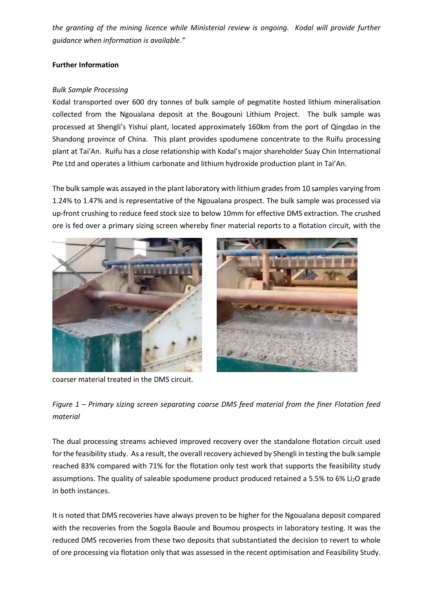*the granting of the mining licence while Ministerial review is ongoing. Kodal will provide further guidance when information is available."*

# **Further Information**

## *Bulk Sample Processing*

Kodal transported over 600 dry tonnes of bulk sample of pegmatite hosted lithium mineralisation collected from the Ngoualana deposit at the Bougouni Lithium Project. The bulk sample was processed at Shengli's Yishui plant, located approximately 160km from the port of Qingdao in the Shandong province of China. This plant provides spodumene concentrate to the Ruifu processing plant at Tai'An. Ruifu has a close relationship with Kodal's major shareholder Suay Chin International Pte Ltd and operates a lithium carbonate and lithium hydroxide production plant in Tai'An.

The bulk sample was assayed in the plant laboratory with lithium grades from 10 samples varying from 1.24% to 1.47% and is representative of the Ngoualana prospect. The bulk sample was processed via up-front crushing to reduce feed stock size to below 10mm for effective DMS extraction. The crushed ore is fed over a primary sizing screen whereby finer material reports to a flotation circuit, with the







*Figure 1 – Primary sizing screen separating coarse DMS feed material from the finer Flotation feed material*

The dual processing streams achieved improved recovery over the standalone flotation circuit used for the feasibility study. As a result, the overall recovery achieved by Shengli in testing the bulk sample reached 83% compared with 71% for the flotation only test work that supports the feasibility study assumptions. The quality of saleable spodumene product produced retained a 5.5% to 6% Li<sub>2</sub>O grade in both instances.

It is noted that DMS recoveries have always proven to be higher for the Ngoualana deposit compared with the recoveries from the Sogola Baoule and Boumou prospects in laboratory testing. It was the reduced DMS recoveries from these two deposits that substantiated the decision to revert to whole of ore processing via flotation only that was assessed in the recent optimisation and Feasibility Study.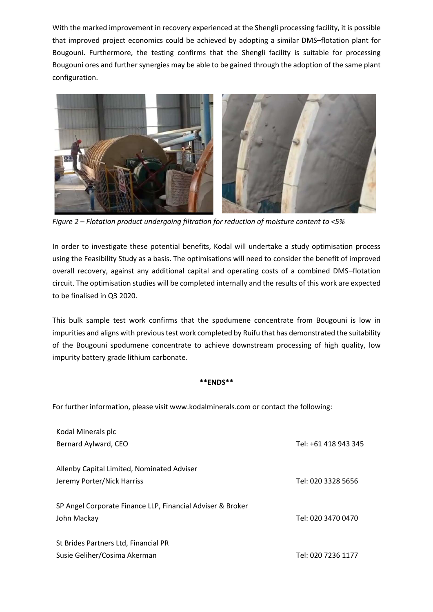With the marked improvement in recovery experienced at the Shengli processing facility, it is possible that improved project economics could be achieved by adopting a similar DMS–flotation plant for Bougouni. Furthermore, the testing confirms that the Shengli facility is suitable for processing Bougouni ores and further synergies may be able to be gained through the adoption of the same plant configuration.



*Figure 2 – Flotation product undergoing filtration for reduction of moisture content to <5%*

In order to investigate these potential benefits, Kodal will undertake a study optimisation process using the Feasibility Study as a basis. The optimisations will need to consider the benefit of improved overall recovery, against any additional capital and operating costs of a combined DMS–flotation circuit. The optimisation studies will be completed internally and the results of this work are expected to be finalised in Q3 2020.

This bulk sample test work confirms that the spodumene concentrate from Bougouni is low in impurities and aligns with previous test work completed by Ruifu that has demonstrated the suitability of the Bougouni spodumene concentrate to achieve downstream processing of high quality, low impurity battery grade lithium carbonate.

### **\*\*ENDS\*\***

For further information, please visit www.kodalminerals.com or contact the following:

| Kodal Minerals plc                                         |                      |
|------------------------------------------------------------|----------------------|
| Bernard Aylward, CEO                                       | Tel: +61 418 943 345 |
| Allenby Capital Limited, Nominated Adviser                 |                      |
| Jeremy Porter/Nick Harriss                                 | Tel: 020 3328 5656   |
| SP Angel Corporate Finance LLP, Financial Adviser & Broker |                      |
| John Mackay                                                | Tel: 020 3470 0470   |
| St Brides Partners Ltd, Financial PR                       |                      |
| Susie Geliher/Cosima Akerman                               | Tel: 020 7236 1177   |